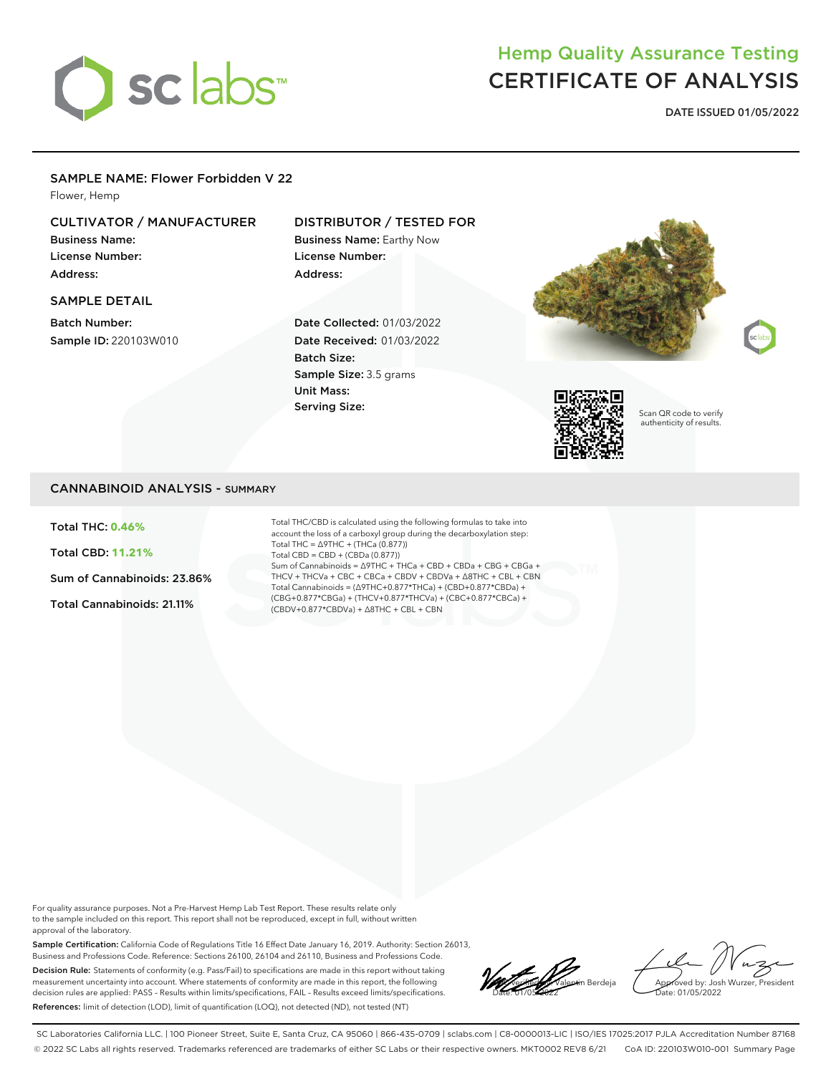

# Hemp Quality Assurance Testing CERTIFICATE OF ANALYSIS

**DATE ISSUED 01/05/2022**

#### SAMPLE NAME: Flower Forbidden V 22

Flower, Hemp

## CULTIVATOR / MANUFACTURER

Business Name: License Number: Address:

## SAMPLE DETAIL

Batch Number: Sample ID: 220103W010

### DISTRIBUTOR / TESTED FOR

Business Name: Earthy Now License Number: Address:

Date Collected: 01/03/2022 Date Received: 01/03/2022 Batch Size: Sample Size: 3.5 grams Unit Mass: Serving Size:





Scan QR code to verify authenticity of results.

#### CANNABINOID ANALYSIS - SUMMARY

Total THC: **0.46%**

Total CBD: **11.21%**

Sum of Cannabinoids: 23.86%

Total Cannabinoids: 21.11%

Total THC/CBD is calculated using the following formulas to take into account the loss of a carboxyl group during the decarboxylation step: Total THC = ∆9THC + (THCa (0.877)) Total CBD = CBD + (CBDa (0.877)) Sum of Cannabinoids = ∆9THC + THCa + CBD + CBDa + CBG + CBGa + THCV + THCVa + CBC + CBCa + CBDV + CBDVa + ∆8THC + CBL + CBN Total Cannabinoids = (∆9THC+0.877\*THCa) + (CBD+0.877\*CBDa) + (CBG+0.877\*CBGa) + (THCV+0.877\*THCVa) + (CBC+0.877\*CBCa) + (CBDV+0.877\*CBDVa) + ∆8THC + CBL + CBN

For quality assurance purposes. Not a Pre-Harvest Hemp Lab Test Report. These results relate only to the sample included on this report. This report shall not be reproduced, except in full, without written approval of the laboratory.

Sample Certification: California Code of Regulations Title 16 Effect Date January 16, 2019. Authority: Section 26013, Business and Professions Code. Reference: Sections 26100, 26104 and 26110, Business and Professions Code. Decision Rule: Statements of conformity (e.g. Pass/Fail) to specifications are made in this report without taking measurement uncertainty into account. Where statements of conformity are made in this report, the following decision rules are applied: PASS – Results within limits/specifications, FAIL – Results exceed limits/specifications. References: limit of detection (LOD), limit of quantification (LOQ), not detected (ND), not tested (NT)

**Lach valentin Berdeja** Date: 01/05/2022

Approved by: Josh Wurzer, President ate: 01/05/2022

SC Laboratories California LLC. | 100 Pioneer Street, Suite E, Santa Cruz, CA 95060 | 866-435-0709 | sclabs.com | C8-0000013-LIC | ISO/IES 17025:2017 PJLA Accreditation Number 87168 © 2022 SC Labs all rights reserved. Trademarks referenced are trademarks of either SC Labs or their respective owners. MKT0002 REV8 6/21 CoA ID: 220103W010-001 Summary Page